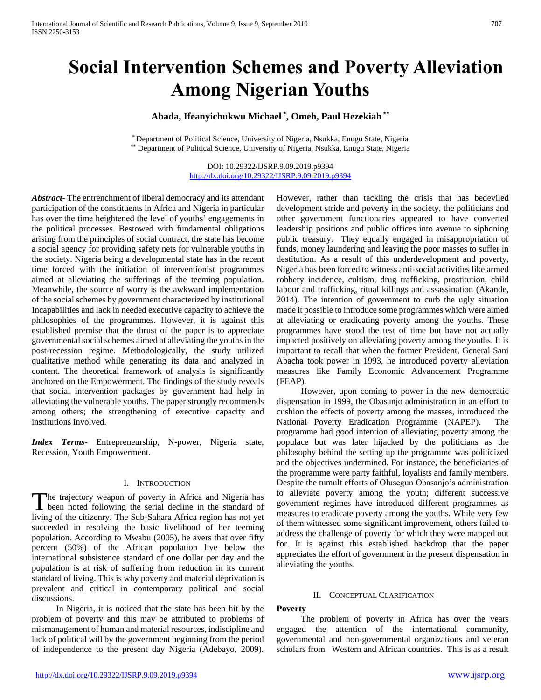# **Social Intervention Schemes and Poverty Alleviation Among Nigerian Youths**

## **Abada, Ifeanyichukwu Michael \* , Omeh, Paul Hezekiah \*\***

\* Department of Political Science, University of Nigeria, Nsukka, Enugu State, Nigeria \*\* Department of Political Science, University of Nigeria, Nsukka, Enugu State, Nigeria

> DOI: 10.29322/IJSRP.9.09.2019.p9394 <http://dx.doi.org/10.29322/IJSRP.9.09.2019.p9394>

*Abstract***-** The entrenchment of liberal democracy and its attendant participation of the constituents in Africa and Nigeria in particular has over the time heightened the level of youths' engagements in the political processes. Bestowed with fundamental obligations arising from the principles of social contract, the state has become a social agency for providing safety nets for vulnerable youths in the society. Nigeria being a developmental state has in the recent time forced with the initiation of interventionist programmes aimed at alleviating the sufferings of the teeming population. Meanwhile, the source of worry is the awkward implementation of the social schemes by government characterized by institutional Incapabilities and lack in needed executive capacity to achieve the philosophies of the programmes. However, it is against this established premise that the thrust of the paper is to appreciate governmental social schemes aimed at alleviating the youths in the post-recession regime. Methodologically, the study utilized qualitative method while generating its data and analyzed in content. The theoretical framework of analysis is significantly anchored on the Empowerment. The findings of the study reveals that social intervention packages by government had help in alleviating the vulnerable youths. The paper strongly recommends among others; the strengthening of executive capacity and institutions involved.

*Index Terms*- Entrepreneurship, N-power, Nigeria state, Recession, Youth Empowerment.

#### I. INTRODUCTION

he trajectory weapon of poverty in Africa and Nigeria has The trajectory weapon of poverty in Africa and Nigeria has<br>been noted following the serial decline in the standard of living of the citizenry. The Sub-Sahara Africa region has not yet succeeded in resolving the basic livelihood of her teeming population. According to Mwabu (2005), he avers that over fifty percent (50%) of the African population live below the international subsistence standard of one dollar per day and the population is at risk of suffering from reduction in its current standard of living. This is why poverty and material deprivation is prevalent and critical in contemporary political and social discussions.

 In Nigeria, it is noticed that the state has been hit by the problem of poverty and this may be attributed to problems of mismanagement of human and material resources, indiscipline and lack of political will by the government beginning from the period of independence to the present day Nigeria (Adebayo, 2009).

However, rather than tackling the crisis that has bedeviled development stride and poverty in the society, the politicians and other government functionaries appeared to have converted leadership positions and public offices into avenue to siphoning public treasury. They equally engaged in misappropriation of funds, money laundering and leaving the poor masses to suffer in destitution. As a result of this underdevelopment and poverty, Nigeria has been forced to witness anti-social activities like armed robbery incidence, cultism, drug trafficking, prostitution, child labour and trafficking, ritual killings and assassination (Akande, 2014). The intention of government to curb the ugly situation made it possible to introduce some programmes which were aimed at alleviating or eradicating poverty among the youths. These programmes have stood the test of time but have not actually impacted positively on alleviating poverty among the youths. It is important to recall that when the former President, General Sani Abacha took power in 1993, he introduced poverty alleviation measures like Family Economic Advancement Programme (FEAP).

 However, upon coming to power in the new democratic dispensation in 1999, the Obasanjo administration in an effort to cushion the effects of poverty among the masses, introduced the National Poverty Eradication Programme (NAPEP). The programme had good intention of alleviating poverty among the populace but was later hijacked by the politicians as the philosophy behind the setting up the programme was politicized and the objectives undermined. For instance, the beneficiaries of the programme were party faithful, loyalists and family members. Despite the tumult efforts of Olusegun Obasanjo's administration to alleviate poverty among the youth; different successive government regimes have introduced different programmes as measures to eradicate poverty among the youths. While very few of them witnessed some significant improvement, others failed to address the challenge of poverty for which they were mapped out for. It is against this established backdrop that the paper appreciates the effort of government in the present dispensation in alleviating the youths.

#### II. CONCEPTUAL CLARIFICATION

#### **Poverty**

 The problem of poverty in Africa has over the years engaged the attention of the international community, governmental and non-governmental organizations and veteran scholars from Western and African countries. This is as a result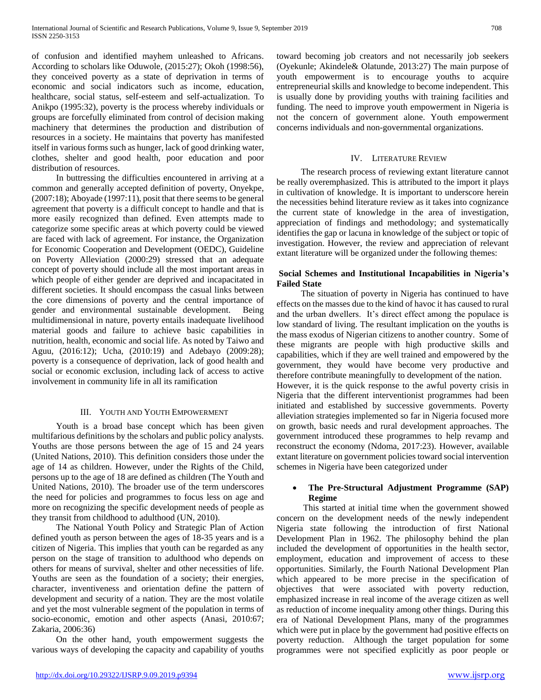of confusion and identified mayhem unleashed to Africans. According to scholars like Oduwole, (2015:27); Okoh (1998:56), they conceived poverty as a state of deprivation in terms of economic and social indicators such as income, education, healthcare, social status, self-esteem and self-actualization. To Anikpo (1995:32), poverty is the process whereby individuals or groups are forcefully eliminated from control of decision making machinery that determines the production and distribution of resources in a society. He maintains that poverty has manifested itself in various forms such as hunger, lack of good drinking water, clothes, shelter and good health, poor education and poor distribution of resources.

 In buttressing the difficulties encountered in arriving at a common and generally accepted definition of poverty, Onyekpe, (2007:18); Aboyade (1997:11), posit that there seems to be general agreement that poverty is a difficult concept to handle and that is more easily recognized than defined. Even attempts made to categorize some specific areas at which poverty could be viewed are faced with lack of agreement. For instance, the Organization for Economic Cooperation and Development (OEDC), Guideline on Poverty Alleviation (2000:29) stressed that an adequate concept of poverty should include all the most important areas in which people of either gender are deprived and incapacitated in different societies. It should encompass the casual links between the core dimensions of poverty and the central importance of gender and environmental sustainable development. Being multidimensional in nature, poverty entails inadequate livelihood material goods and failure to achieve basic capabilities in nutrition, health, economic and social life. As noted by Taiwo and Aguu, (2016:12); Ucha, (2010:19) and Adebayo (2009:28); poverty is a consequence of deprivation, lack of good health and social or economic exclusion, including lack of access to active involvement in community life in all its ramification

## III. YOUTH AND YOUTH EMPOWERMENT

 Youth is a broad base concept which has been given multifarious definitions by the scholars and public policy analysts. Youths are those persons between the age of 15 and 24 years (United Nations, 2010). This definition considers those under the age of 14 as children. However, under the Rights of the Child, persons up to the age of 18 are defined as children (The Youth and United Nations, 2010). The broader use of the term underscores the need for policies and programmes to focus less on age and more on recognizing the specific development needs of people as they transit from childhood to adulthood (UN, 2010).

 The National Youth Policy and Strategic Plan of Action defined youth as person between the ages of 18-35 years and is a citizen of Nigeria. This implies that youth can be regarded as any person on the stage of transition to adulthood who depends on others for means of survival, shelter and other necessities of life. Youths are seen as the foundation of a society; their energies, character, inventiveness and orientation define the pattern of development and security of a nation. They are the most volatile and yet the most vulnerable segment of the population in terms of socio-economic, emotion and other aspects (Anasi, 2010:67; Zakaria, 2006:36)

 On the other hand, youth empowerment suggests the various ways of developing the capacity and capability of youths toward becoming job creators and not necessarily job seekers (Oyekunle; Akindele& Olatunde, 2013:27) The main purpose of youth empowerment is to encourage youths to acquire entrepreneurial skills and knowledge to become independent. This is usually done by providing youths with training facilities and funding. The need to improve youth empowerment in Nigeria is not the concern of government alone. Youth empowerment concerns individuals and non-governmental organizations.

## IV. LITERATURE REVIEW

 The research process of reviewing extant literature cannot be really overemphasized. This is attributed to the import it plays in cultivation of knowledge. It is important to underscore herein the necessities behind literature review as it takes into cognizance the current state of knowledge in the area of investigation, appreciation of findings and methodology; and systematically identifies the gap or lacuna in knowledge of the subject or topic of investigation. However, the review and appreciation of relevant extant literature will be organized under the following themes:

## **Social Schemes and Institutional Incapabilities in Nigeria's Failed State**

 The situation of poverty in Nigeria has continued to have effects on the masses due to the kind of havoc it has caused to rural and the urban dwellers. It's direct effect among the populace is low standard of living. The resultant implication on the youths is the mass exodus of Nigerian citizens to another country. Some of these migrants are people with high productive skills and capabilities, which if they are well trained and empowered by the government, they would have become very productive and therefore contribute meaningfully to development of the nation. However, it is the quick response to the awful poverty crisis in Nigeria that the different interventionist programmes had been initiated and established by successive governments. Poverty alleviation strategies implemented so far in Nigeria focused more on growth, basic needs and rural development approaches. The

government introduced these programmes to help revamp and reconstruct the economy (Ndoma, 2017:23). However, available extant literature on government policies toward social intervention schemes in Nigeria have been categorized under

## **The Pre-Structural Adjustment Programme (SAP) Regime**

 This started at initial time when the government showed concern on the development needs of the newly independent Nigeria state following the introduction of first National Development Plan in 1962. The philosophy behind the plan included the development of opportunities in the health sector, employment, education and improvement of access to these opportunities. Similarly, the Fourth National Development Plan which appeared to be more precise in the specification of objectives that were associated with poverty reduction, emphasized increase in real income of the average citizen as well as reduction of income inequality among other things. During this era of National Development Plans, many of the programmes which were put in place by the government had positive effects on poverty reduction. Although the target population for some programmes were not specified explicitly as poor people or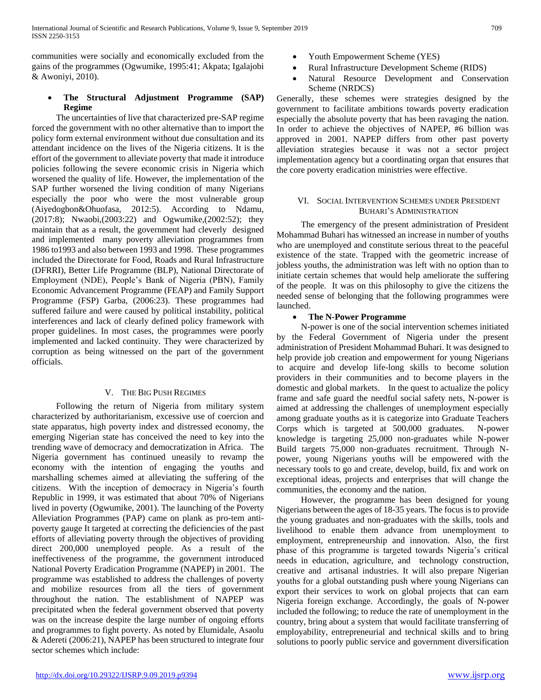communities were socially and economically excluded from the gains of the programmes (Ogwumike, 1995:41; Akpata; Igalajobi & Awoniyi, 2010).

## **The Structural Adjustment Programme (SAP) Regime**

 The uncertainties of live that characterized pre-SAP regime forced the government with no other alternative than to import the policy form external environment without due consultation and its attendant incidence on the lives of the Nigeria citizens. It is the effort of the government to alleviate poverty that made it introduce policies following the severe economic crisis in Nigeria which worsened the quality of life. However, the implementation of the SAP further worsened the living condition of many Nigerians especially the poor who were the most vulnerable group (Aiyedogbon&Ohuofasa, 2012:5). According to Ndamu, (2017:8); Nwaobi,(2003:22) and Ogwumike,(2002:52); they maintain that as a result, the government had cleverly designed and implemented many poverty alleviation programmes from 1986 to1993 and also between 1993 and 1998. These programmes included the Directorate for Food, Roads and Rural Infrastructure (DFRRI), Better Life Programme (BLP), National Directorate of Employment (NDE), People's Bank of Nigeria (PBN), Family Economic Advancement Programme (FEAP) and Family Support Programme (FSP) Garba, (2006:23). These programmes had suffered failure and were caused by political instability, political interferences and lack of clearly defined policy framework with proper guidelines. In most cases, the programmes were poorly implemented and lacked continuity. They were characterized by corruption as being witnessed on the part of the government officials.

## V. THE BIG PUSH REGIMES

 Following the return of Nigeria from military system characterized by authoritarianism, excessive use of coercion and state apparatus, high poverty index and distressed economy, the emerging Nigerian state has conceived the need to key into the trending wave of democracy and democratization in Africa. The Nigeria government has continued uneasily to revamp the economy with the intention of engaging the youths and marshalling schemes aimed at alleviating the suffering of the citizens. With the inception of democracy in Nigeria's fourth Republic in 1999, it was estimated that about 70% of Nigerians lived in poverty (Ogwumike, 2001). The launching of the Poverty Alleviation Programmes (PAP) came on plank as pro-tem antipoverty gauge It targeted at correcting the deficiencies of the past efforts of alleviating poverty through the objectives of providing direct 200,000 unemployed people. As a result of the ineffectiveness of the programme, the government introduced National Poverty Eradication Programme (NAPEP) in 2001. The programme was established to address the challenges of poverty and mobilize resources from all the tiers of government throughout the nation. The establishment of NAPEP was precipitated when the federal government observed that poverty was on the increase despite the large number of ongoing efforts and programmes to fight poverty. As noted by Elumidale, Asaolu & Adereti (2006:21), NAPEP has been structured to integrate four sector schemes which include:

- Youth Empowerment Scheme (YES)
- Rural Infrastructure Development Scheme (RIDS)
- Natural Resource Development and Conservation Scheme (NRDCS)

Generally, these schemes were strategies designed by the government to facilitate ambitions towards poverty eradication especially the absolute poverty that has been ravaging the nation. In order to achieve the objectives of NAPEP, #6 billion was approved in 2001. NAPEP differs from other past poverty alleviation strategies because it was not a sector project implementation agency but a coordinating organ that ensures that the core poverty eradication ministries were effective.

## VI. SOCIAL INTERVENTION SCHEMES UNDER PRESIDENT BUHARI'S ADMINISTRATION

 The emergency of the present administration of President Mohammad Buhari has witnessed an increase in number of youths who are unemployed and constitute serious threat to the peaceful existence of the state. Trapped with the geometric increase of jobless youths, the administration was left with no option than to initiate certain schemes that would help ameliorate the suffering of the people. It was on this philosophy to give the citizens the needed sense of belonging that the following programmes were launched.

## **The N-Power Programme**

 N-power is one of the social intervention schemes initiated by the Federal Government of Nigeria under the present administration of President Mohammad Buhari. It was designed to help provide job creation and empowerment for young Nigerians to acquire and develop life-long skills to become solution providers in their communities and to become players in the domestic and global markets. In the quest to actualize the policy frame and safe guard the needful social safety nets, N-power is aimed at addressing the challenges of unemployment especially among graduate youths as it is categorize into Graduate Teachers Corps which is targeted at 500,000 graduates. N-power knowledge is targeting 25,000 non-graduates while N-power Build targets 75,000 non-graduates recruitment. Through Npower, young Nigerians youths will be empowered with the necessary tools to go and create, develop, build, fix and work on exceptional ideas, projects and enterprises that will change the communities, the economy and the nation.

 However, the programme has been designed for young Nigerians between the ages of 18-35 years. The focus is to provide the young graduates and non-graduates with the skills, tools and livelihood to enable them advance from unemployment to employment, entrepreneurship and innovation. Also, the first phase of this programme is targeted towards Nigeria's critical needs in education, agriculture, and technology construction, creative and artisanal industries. It will also prepare Nigerian youths for a global outstanding push where young Nigerians can export their services to work on global projects that can earn Nigeria foreign exchange. Accordingly, the goals of N-power included the following; to reduce the rate of unemployment in the country, bring about a system that would facilitate transferring of employability, entrepreneurial and technical skills and to bring solutions to poorly public service and government diversification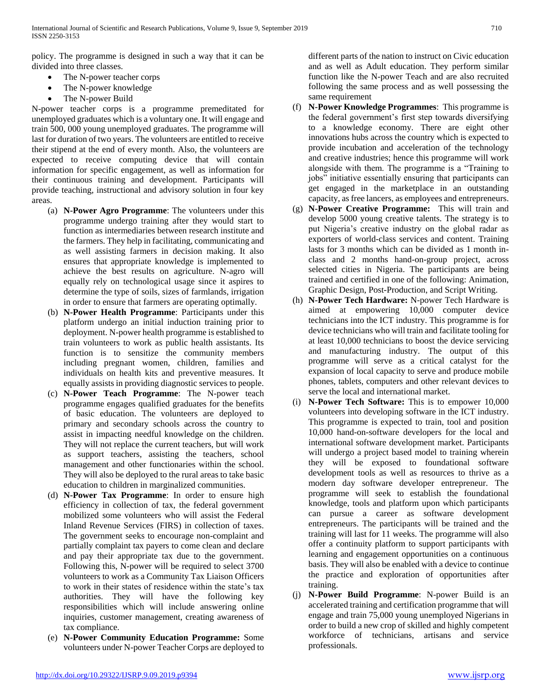policy. The programme is designed in such a way that it can be divided into three classes.

- The N-power teacher corps
- The N-power knowledge
- The N-power Build

N-power teacher corps is a programme premeditated for unemployed graduates which is a voluntary one. It will engage and train 500, 000 young unemployed graduates. The programme will last for duration of two years. The volunteers are entitled to receive their stipend at the end of every month. Also, the volunteers are expected to receive computing device that will contain information for specific engagement, as well as information for their continuous training and development. Participants will provide teaching, instructional and advisory solution in four key areas.

- (a) **N-Power Agro Programme**: The volunteers under this programme undergo training after they would start to function as intermediaries between research institute and the farmers. They help in facilitating, communicating and as well assisting farmers in decision making. It also ensures that appropriate knowledge is implemented to achieve the best results on agriculture. N-agro will equally rely on technological usage since it aspires to determine the type of soils, sizes of farmlands, irrigation in order to ensure that farmers are operating optimally.
- (b) **N-Power Health Programme**: Participants under this platform undergo an initial induction training prior to deployment. N-power health programme is established to train volunteers to work as public health assistants. Its function is to sensitize the community members including pregnant women, children, families and individuals on health kits and preventive measures. It equally assists in providing diagnostic services to people.
- (c) **N-Power Teach Programme**: The N-power teach programme engages qualified graduates for the benefits of basic education. The volunteers are deployed to primary and secondary schools across the country to assist in impacting needful knowledge on the children. They will not replace the current teachers, but will work as support teachers, assisting the teachers, school management and other functionaries within the school. They will also be deployed to the rural areas to take basic education to children in marginalized communities.
- (d) **N-Power Tax Programme**: In order to ensure high efficiency in collection of tax, the federal government mobilized some volunteers who will assist the Federal Inland Revenue Services (FIRS) in collection of taxes. The government seeks to encourage non-complaint and partially complaint tax payers to come clean and declare and pay their appropriate tax due to the government. Following this, N-power will be required to select 3700 volunteers to work as a Community Tax Liaison Officers to work in their states of residence within the state's tax authorities. They will have the following key responsibilities which will include answering online inquiries, customer management, creating awareness of tax compliance.
- (e) **N-Power Community Education Programme:** Some volunteers under N-power Teacher Corps are deployed to

different parts of the nation to instruct on Civic education and as well as Adult education. They perform similar function like the N-power Teach and are also recruited following the same process and as well possessing the same requirement

- (f) **N-Power Knowledge Programmes**: This programme is the federal government's first step towards diversifying to a knowledge economy. There are eight other innovations hubs across the country which is expected to provide incubation and acceleration of the technology and creative industries; hence this programme will work alongside with them. The programme is a "Training to jobs" initiative essentially ensuring that participants can get engaged in the marketplace in an outstanding capacity, as free lancers, as employees and entrepreneurs.
- (g) **N-Power Creative Programme:** This will train and develop 5000 young creative talents. The strategy is to put Nigeria's creative industry on the global radar as exporters of world-class services and content. Training lasts for 3 months which can be divided as 1 month inclass and 2 months hand-on-group project, across selected cities in Nigeria. The participants are being trained and certified in one of the following: Animation, Graphic Design, Post-Production, and Script Writing.
- (h) **N-Power Tech Hardware:** N-power Tech Hardware is aimed at empowering 10,000 computer device technicians into the ICT industry. This programme is for device technicians who will train and facilitate tooling for at least 10,000 technicians to boost the device servicing and manufacturing industry. The output of this programme will serve as a critical catalyst for the expansion of local capacity to serve and produce mobile phones, tablets, computers and other relevant devices to serve the local and international market.
- (i) **N-Power Tech Software:** This is to empower 10,000 volunteers into developing software in the ICT industry. This programme is expected to train, tool and position 10,000 hand-on-software developers for the local and international software development market. Participants will undergo a project based model to training wherein they will be exposed to foundational software development tools as well as resources to thrive as a modern day software developer entrepreneur. The programme will seek to establish the foundational knowledge, tools and platform upon which participants can pursue a career as software development entrepreneurs. The participants will be trained and the training will last for 11 weeks. The programme will also offer a continuity platform to support participants with learning and engagement opportunities on a continuous basis. They will also be enabled with a device to continue the practice and exploration of opportunities after training.
- (j) **N-Power Build Programme**: N-power Build is an accelerated training and certification programme that will engage and train 75,000 young unemployed Nigerians in order to build a new crop of skilled and highly competent workforce of technicians, artisans and service professionals.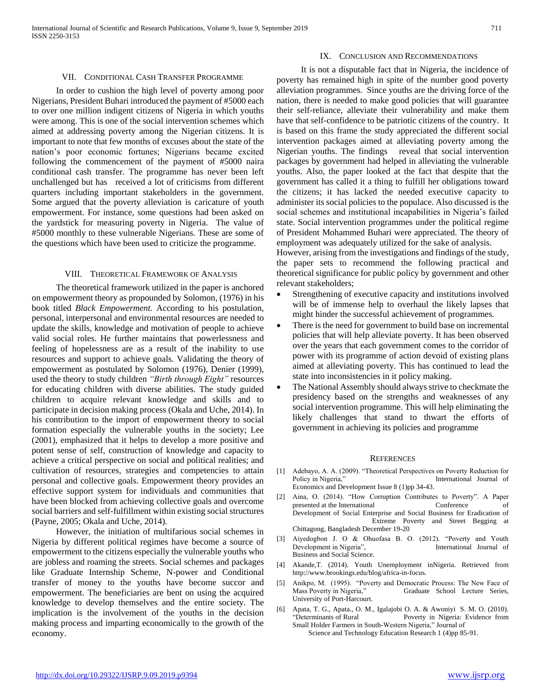#### IX. CONCLUSION AND RECOMMENDATIONS

#### VII. CONDITIONAL CASH TRANSFER PROGRAMME

 In order to cushion the high level of poverty among poor Nigerians, President Buhari introduced the payment of #5000 each to over one million indigent citizens of Nigeria in which youths were among. This is one of the social intervention schemes which aimed at addressing poverty among the Nigerian citizens. It is important to note that few months of excuses about the state of the nation's poor economic fortunes; Nigerians became excited following the commencement of the payment of #5000 naira conditional cash transfer. The programme has never been left unchallenged but has received a lot of criticisms from different quarters including important stakeholders in the government. Some argued that the poverty alleviation is caricature of youth empowerment. For instance, some questions had been asked on the yardstick for measuring poverty in Nigeria. The value of #5000 monthly to these vulnerable Nigerians. These are some of the questions which have been used to criticize the programme.

#### VIII. THEORETICAL FRAMEWORK OF ANALYSIS

 The theoretical framework utilized in the paper is anchored on empowerment theory as propounded by Solomon, (1976) in his book titled *Black Empowerment.* According to his postulation, personal, interpersonal and environmental resources are needed to update the skills, knowledge and motivation of people to achieve valid social roles. He further maintains that powerlessness and feeling of hopelessness are as a result of the inability to use resources and support to achieve goals. Validating the theory of empowerment as postulated by Solomon (1976), Denier (1999), used the theory to study children *"Birth through Eight"* resources for educating children with diverse abilities. The study guided children to acquire relevant knowledge and skills and to participate in decision making process (Okala and Uche, 2014). In his contribution to the import of empowerment theory to social formation especially the vulnerable youths in the society; Lee (2001), emphasized that it helps to develop a more positive and potent sense of self, construction of knowledge and capacity to achieve a critical perspective on social and political realities; and cultivation of resources, strategies and competencies to attain personal and collective goals. Empowerment theory provides an effective support system for individuals and communities that have been blocked from achieving collective goals and overcome social barriers and self-fulfillment within existing social structures (Payne, 2005; Okala and Uche, 2014).

 However, the initiation of multifarious social schemes in Nigeria by different political regimes have become a source of empowerment to the citizens especially the vulnerable youths who are jobless and roaming the streets. Social schemes and packages like Graduate Internship Scheme, N-power and Conditional transfer of money to the youths have become succor and empowerment. The beneficiaries are bent on using the acquired knowledge to develop themselves and the entire society. The implication is the involvement of the youths in the decision making process and imparting economically to the growth of the economy.

 It is not a disputable fact that in Nigeria, the incidence of poverty has remained high in spite of the number good poverty alleviation programmes. Since youths are the driving force of the nation, there is needed to make good policies that will guarantee their self-reliance, alleviate their vulnerability and make them have that self-confidence to be patriotic citizens of the country. It is based on this frame the study appreciated the different social intervention packages aimed at alleviating poverty among the Nigerian youths. The findings reveal that social intervention packages by government had helped in alleviating the vulnerable youths. Also, the paper looked at the fact that despite that the government has called it a thing to fulfill her obligations toward the citizens; it has lacked the needed executive capacity to administer its social policies to the populace. Also discussed is the social schemes and institutional incapabilities in Nigeria's failed state. Social intervention programmes under the political regime of President Mohammed Buhari were appreciated. The theory of employment was adequately utilized for the sake of analysis.

However, arising from the investigations and findings of the study, the paper sets to recommend the following practical and theoretical significance for public policy by government and other relevant stakeholders;

- Strengthening of executive capacity and institutions involved will be of immense help to overhaul the likely lapses that might hinder the successful achievement of programmes.
- There is the need for government to build base on incremental policies that will help alleviate poverty. It has been observed over the years that each government comes to the corridor of power with its programme of action devoid of existing plans aimed at alleviating poverty. This has continued to lead the state into inconsistencies in it policy making.
- The National Assembly should always strive to checkmate the presidency based on the strengths and weaknesses of any social intervention programme. This will help eliminating the likely challenges that stand to thwart the efforts of government in achieving its policies and programme

#### **REFERENCES**

- [1] Adebayo, A. A. (2009). "Theoretical Perspectives on Poverty Reduction for Policy in Nigeria," International Journal of Economics and Development Issue 8 (1)pp 34-43.
- [2] Aina, O. (2014). "How Corruption Contributes to Poverty". A Paper presented at the International Conference of Conference of Development of Social Enterprise and Social Business for Eradication of Extreme Poverty and Street Begging at Chittagong, Bangladesh December 19-20
- [3] Aiyedogbon J. O & Ohuofasa B. O. (2012). "Poverty and Youth Development in Nigeria", Santa Terrational Journal of Business and Social Science.
- [4] Akande,T. (2014). Youth Unemployment inNigeria. Retrieved from http://www.brookings.edu/blog/africa-in-focus.
- [5] Anikpo, M. (1995). "Poverty and Democratic Process: The New Face of Graduate School Lecture Series, University of Port-Harcourt.
- [6] Apata, T. G., Apata., O. M., Igalajobi O. A. & Awoniyi S. M. O. (2010). "Determinants of Rural Poverty in Nigeria: Evidence from Small Holder Farmers in South-Western Nigeria," Journal of Science and Technology Education Research 1 (4)pp 85-91.